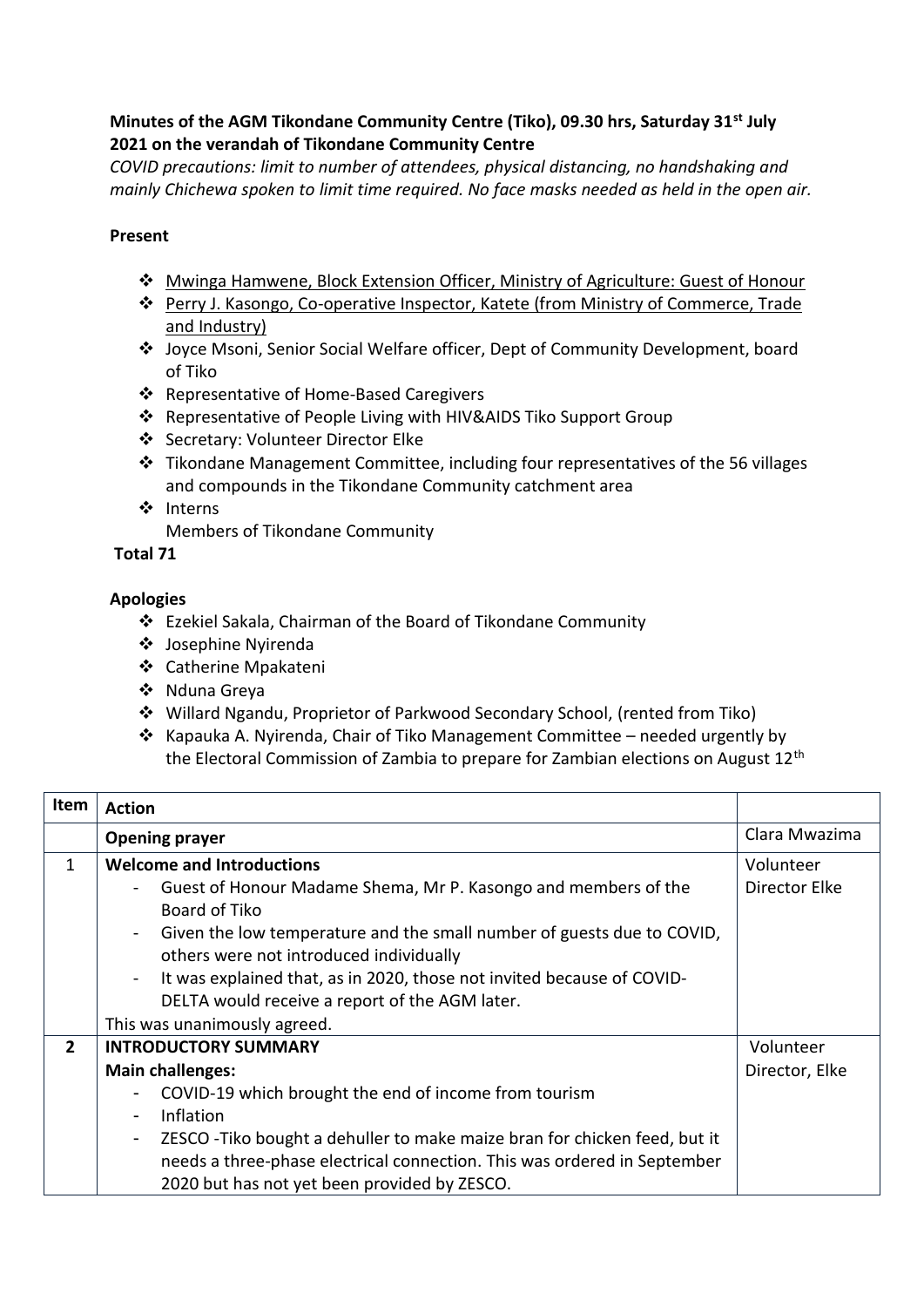## **Minutes of the AGM Tikondane Community Centre (Tiko), 09.30 hrs, Saturday 31st July 2021 on the verandah of Tikondane Community Centre**

*COVID precautions: limit to number of attendees, physical distancing, no handshaking and mainly Chichewa spoken to limit time required. No face masks needed as held in the open air.*

## **Present**

- ❖ Mwinga Hamwene, Block Extension Officer, Ministry of Agriculture: Guest of Honour
- ❖ Perry J. Kasongo, Co-operative Inspector, Katete (from Ministry of Commerce, Trade and Industry)
- ❖ Joyce Msoni, Senior Social Welfare officer, Dept of Community Development, board of Tiko
- ❖ Representative of Home-Based Caregivers
- ❖ Representative of People Living with HIV&AIDS Tiko Support Group
- ❖ Secretary: Volunteer Director Elke
- ❖ Tikondane Management Committee, including four representatives of the 56 villages and compounds in the Tikondane Community catchment area
- ❖ Interns

Members of Tikondane Community

**Total 71**

## **Apologies**

- ❖ Ezekiel Sakala, Chairman of the Board of Tikondane Community
- ❖ Josephine Nyirenda
- ❖ Catherine Mpakateni
- ❖ Nduna Greya
- ❖ Willard Ngandu, Proprietor of Parkwood Secondary School, (rented from Tiko)
- ❖ Kapauka A. Nyirenda, Chair of Tiko Management Committee needed urgently by the Electoral Commission of Zambia to prepare for Zambian elections on August 12th

| <b>Item</b>    | <b>Action</b>                                                                                                                       |                |
|----------------|-------------------------------------------------------------------------------------------------------------------------------------|----------------|
|                | <b>Opening prayer</b>                                                                                                               | Clara Mwazima  |
| $\mathbf{1}$   | <b>Welcome and Introductions</b>                                                                                                    | Volunteer      |
|                | Guest of Honour Madame Shema, Mr P. Kasongo and members of the<br>Board of Tiko                                                     | Director Elke  |
|                | Given the low temperature and the small number of guests due to COVID,<br>$\blacksquare$<br>others were not introduced individually |                |
|                | It was explained that, as in 2020, those not invited because of COVID-<br>$\overline{\phantom{a}}$                                  |                |
|                | DELTA would receive a report of the AGM later.                                                                                      |                |
|                | This was unanimously agreed.                                                                                                        |                |
| $\overline{2}$ | <b>INTRODUCTORY SUMMARY</b>                                                                                                         | Volunteer      |
|                | <b>Main challenges:</b>                                                                                                             | Director, Elke |
|                | COVID-19 which brought the end of income from tourism<br>-                                                                          |                |
|                | Inflation<br>$\blacksquare$                                                                                                         |                |
|                | ZESCO - Tiko bought a dehuller to make maize bran for chicken feed, but it<br>$\overline{\phantom{a}}$                              |                |
|                | needs a three-phase electrical connection. This was ordered in September                                                            |                |
|                | 2020 but has not yet been provided by ZESCO.                                                                                        |                |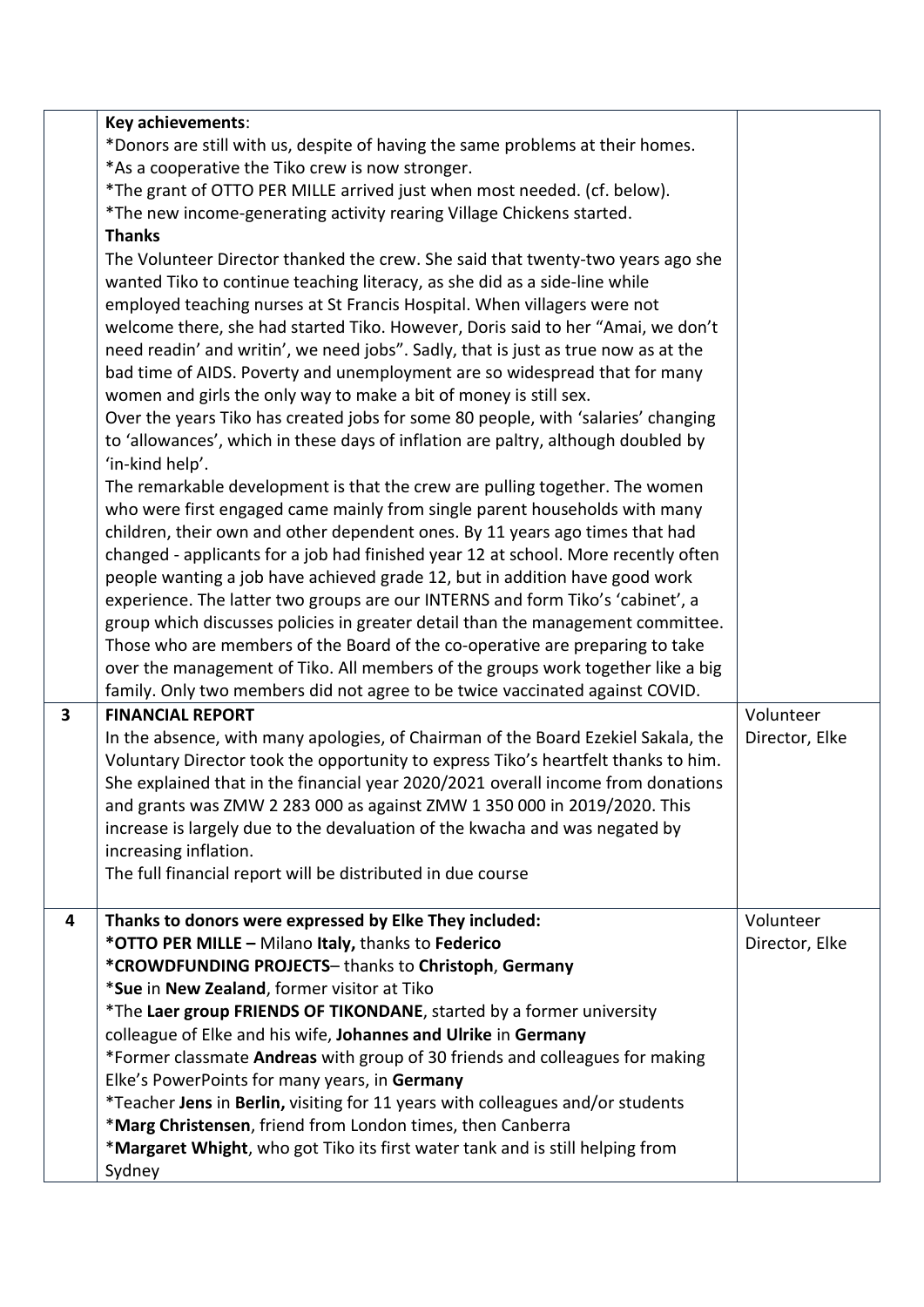|   | Key achievements:<br>*Donors are still with us, despite of having the same problems at their homes.<br>*As a cooperative the Tiko crew is now stronger.<br>*The grant of OTTO PER MILLE arrived just when most needed. (cf. below).<br>*The new income-generating activity rearing Village Chickens started.<br><b>Thanks</b><br>The Volunteer Director thanked the crew. She said that twenty-two years ago she<br>wanted Tiko to continue teaching literacy, as she did as a side-line while<br>employed teaching nurses at St Francis Hospital. When villagers were not<br>welcome there, she had started Tiko. However, Doris said to her "Amai, we don't<br>need readin' and writin', we need jobs". Sadly, that is just as true now as at the<br>bad time of AIDS. Poverty and unemployment are so widespread that for many<br>women and girls the only way to make a bit of money is still sex.<br>Over the years Tiko has created jobs for some 80 people, with 'salaries' changing<br>to 'allowances', which in these days of inflation are paltry, although doubled by<br>'in-kind help'.<br>The remarkable development is that the crew are pulling together. The women<br>who were first engaged came mainly from single parent households with many |                             |
|---|------------------------------------------------------------------------------------------------------------------------------------------------------------------------------------------------------------------------------------------------------------------------------------------------------------------------------------------------------------------------------------------------------------------------------------------------------------------------------------------------------------------------------------------------------------------------------------------------------------------------------------------------------------------------------------------------------------------------------------------------------------------------------------------------------------------------------------------------------------------------------------------------------------------------------------------------------------------------------------------------------------------------------------------------------------------------------------------------------------------------------------------------------------------------------------------------------------------------------------------------------------------|-----------------------------|
|   | children, their own and other dependent ones. By 11 years ago times that had<br>changed - applicants for a job had finished year 12 at school. More recently often<br>people wanting a job have achieved grade 12, but in addition have good work<br>experience. The latter two groups are our INTERNS and form Tiko's 'cabinet', a<br>group which discusses policies in greater detail than the management committee.<br>Those who are members of the Board of the co-operative are preparing to take<br>over the management of Tiko. All members of the groups work together like a big<br>family. Only two members did not agree to be twice vaccinated against COVID.                                                                                                                                                                                                                                                                                                                                                                                                                                                                                                                                                                                        |                             |
| 3 | <b>FINANCIAL REPORT</b><br>In the absence, with many apologies, of Chairman of the Board Ezekiel Sakala, the<br>Voluntary Director took the opportunity to express Tiko's heartfelt thanks to him.<br>She explained that in the financial year 2020/2021 overall income from donations<br>and grants was ZMW 2 283 000 as against ZMW 1 350 000 in 2019/2020. This<br>increase is largely due to the devaluation of the kwacha and was negated by<br>increasing inflation.<br>The full financial report will be distributed in due course                                                                                                                                                                                                                                                                                                                                                                                                                                                                                                                                                                                                                                                                                                                        | Volunteer<br>Director, Elke |
| 4 | Thanks to donors were expressed by Elke They included:<br>*OTTO PER MILLE - Milano Italy, thanks to Federico<br>*CROWDFUNDING PROJECTS-thanks to Christoph, Germany<br>*Sue in New Zealand, former visitor at Tiko<br>*The Laer group FRIENDS OF TIKONDANE, started by a former university<br>colleague of Elke and his wife, Johannes and Ulrike in Germany<br>*Former classmate Andreas with group of 30 friends and colleagues for making<br>Elke's PowerPoints for many years, in Germany<br>*Teacher Jens in Berlin, visiting for 11 years with colleagues and/or students<br>*Marg Christensen, friend from London times, then Canberra<br>*Margaret Whight, who got Tiko its first water tank and is still helping from<br>Sydney                                                                                                                                                                                                                                                                                                                                                                                                                                                                                                                         | Volunteer<br>Director, Elke |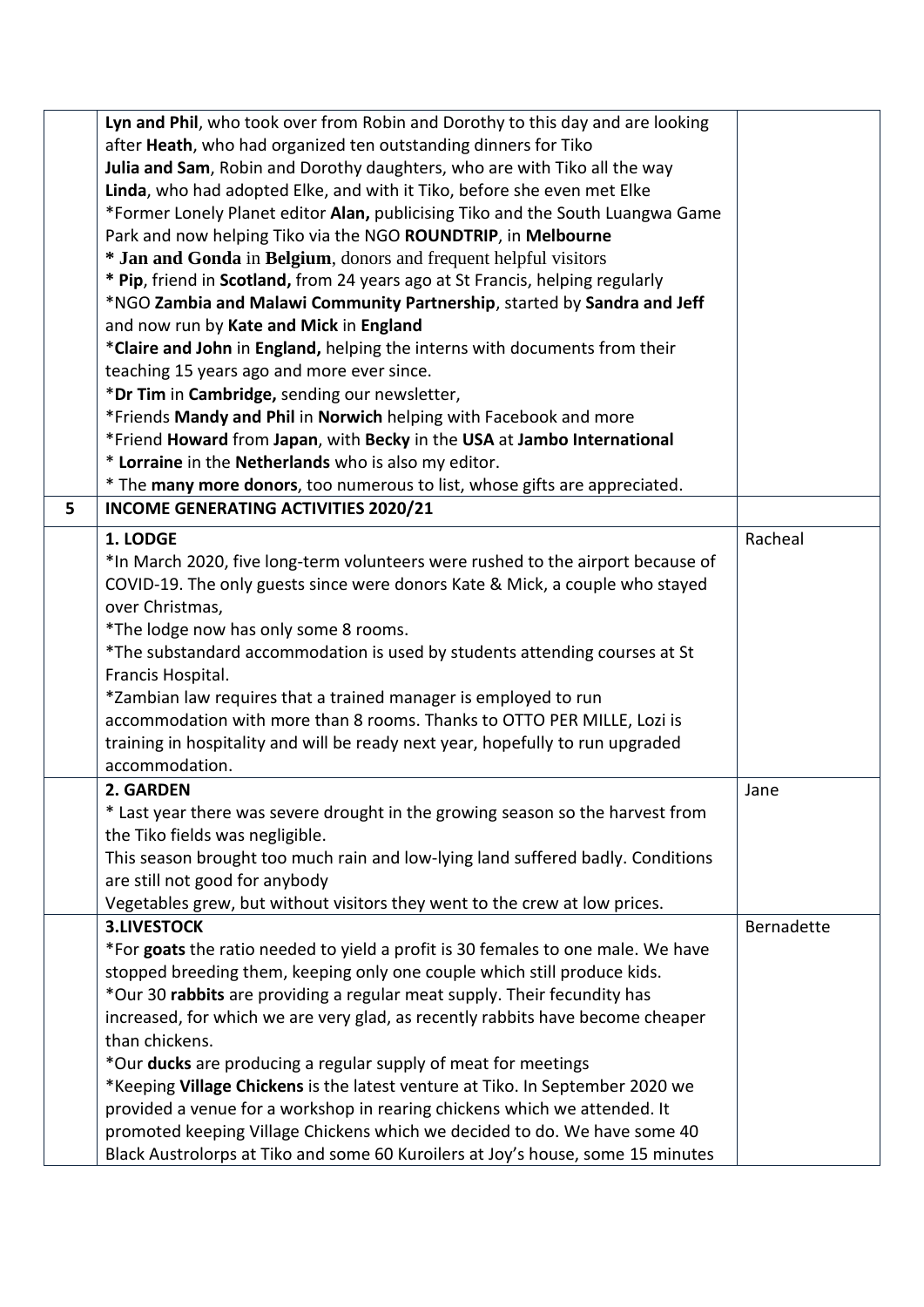|   | Lyn and Phil, who took over from Robin and Dorothy to this day and are looking   |            |
|---|----------------------------------------------------------------------------------|------------|
|   | after Heath, who had organized ten outstanding dinners for Tiko                  |            |
|   | Julia and Sam, Robin and Dorothy daughters, who are with Tiko all the way        |            |
|   | Linda, who had adopted Elke, and with it Tiko, before she even met Elke          |            |
|   | *Former Lonely Planet editor Alan, publicising Tiko and the South Luangwa Game   |            |
|   | Park and now helping Tiko via the NGO ROUNDTRIP, in Melbourne                    |            |
|   | * Jan and Gonda in Belgium, donors and frequent helpful visitors                 |            |
|   | * Pip, friend in Scotland, from 24 years ago at St Francis, helping regularly    |            |
|   | *NGO Zambia and Malawi Community Partnership, started by Sandra and Jeff         |            |
|   | and now run by Kate and Mick in England                                          |            |
|   | *Claire and John in England, helping the interns with documents from their       |            |
|   | teaching 15 years ago and more ever since.                                       |            |
|   | *Dr Tim in Cambridge, sending our newsletter,                                    |            |
|   | *Friends Mandy and Phil in Norwich helping with Facebook and more                |            |
|   | *Friend Howard from Japan, with Becky in the USA at Jambo International          |            |
|   | * Lorraine in the Netherlands who is also my editor.                             |            |
|   | * The many more donors, too numerous to list, whose gifts are appreciated.       |            |
| 5 | <b>INCOME GENERATING ACTIVITIES 2020/21</b>                                      |            |
|   | 1. LODGE                                                                         | Racheal    |
|   | *In March 2020, five long-term volunteers were rushed to the airport because of  |            |
|   | COVID-19. The only guests since were donors Kate & Mick, a couple who stayed     |            |
|   | over Christmas,                                                                  |            |
|   | *The lodge now has only some 8 rooms.                                            |            |
|   | *The substandard accommodation is used by students attending courses at St       |            |
|   | Francis Hospital.                                                                |            |
|   | *Zambian law requires that a trained manager is employed to run                  |            |
|   | accommodation with more than 8 rooms. Thanks to OTTO PER MILLE, Lozi is          |            |
|   | training in hospitality and will be ready next year, hopefully to run upgraded   |            |
|   | accommodation.                                                                   |            |
|   | 2. GARDEN                                                                        | Jane       |
|   | * Last year there was severe drought in the growing season so the harvest from   |            |
|   |                                                                                  |            |
|   | the Tiko fields was negligible.                                                  |            |
|   | This season brought too much rain and low-lying land suffered badly. Conditions  |            |
|   | are still not good for anybody                                                   |            |
|   | Vegetables grew, but without visitors they went to the crew at low prices.       |            |
|   | <b>3.LIVESTOCK</b>                                                               | Bernadette |
|   | *For goats the ratio needed to yield a profit is 30 females to one male. We have |            |
|   | stopped breeding them, keeping only one couple which still produce kids.         |            |
|   | *Our 30 rabbits are providing a regular meat supply. Their fecundity has         |            |
|   | increased, for which we are very glad, as recently rabbits have become cheaper   |            |
|   | than chickens.                                                                   |            |
|   | *Our ducks are producing a regular supply of meat for meetings                   |            |
|   | *Keeping Village Chickens is the latest venture at Tiko. In September 2020 we    |            |
|   | provided a venue for a workshop in rearing chickens which we attended. It        |            |
|   | promoted keeping Village Chickens which we decided to do. We have some 40        |            |
|   | Black Austrolorps at Tiko and some 60 Kuroilers at Joy's house, some 15 minutes  |            |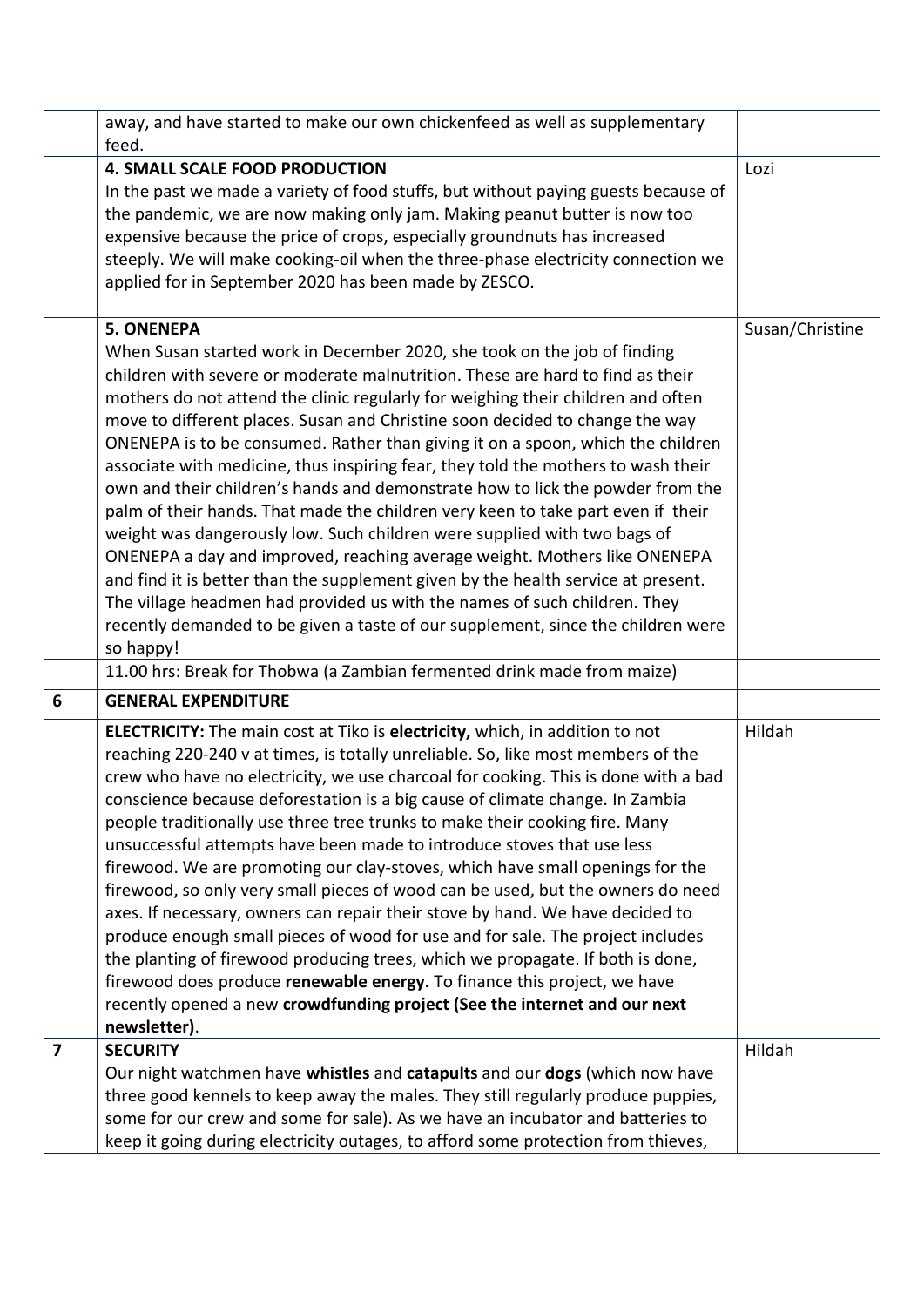|                         | away, and have started to make our own chickenfeed as well as supplementary<br>feed.                                                                                                                                                                                                                                                                                                                                                                                                                                                                                                                                                                                                                                                                                                                                                                                                                                                                                                                                                                                                                                          |                 |
|-------------------------|-------------------------------------------------------------------------------------------------------------------------------------------------------------------------------------------------------------------------------------------------------------------------------------------------------------------------------------------------------------------------------------------------------------------------------------------------------------------------------------------------------------------------------------------------------------------------------------------------------------------------------------------------------------------------------------------------------------------------------------------------------------------------------------------------------------------------------------------------------------------------------------------------------------------------------------------------------------------------------------------------------------------------------------------------------------------------------------------------------------------------------|-----------------|
|                         | <b>4. SMALL SCALE FOOD PRODUCTION</b><br>In the past we made a variety of food stuffs, but without paying guests because of<br>the pandemic, we are now making only jam. Making peanut butter is now too<br>expensive because the price of crops, especially groundnuts has increased<br>steeply. We will make cooking-oil when the three-phase electricity connection we<br>applied for in September 2020 has been made by ZESCO.                                                                                                                                                                                                                                                                                                                                                                                                                                                                                                                                                                                                                                                                                            | Lozi            |
|                         | <b>5. ONENEPA</b><br>When Susan started work in December 2020, she took on the job of finding<br>children with severe or moderate malnutrition. These are hard to find as their<br>mothers do not attend the clinic regularly for weighing their children and often<br>move to different places. Susan and Christine soon decided to change the way<br>ONENEPA is to be consumed. Rather than giving it on a spoon, which the children<br>associate with medicine, thus inspiring fear, they told the mothers to wash their<br>own and their children's hands and demonstrate how to lick the powder from the<br>palm of their hands. That made the children very keen to take part even if their<br>weight was dangerously low. Such children were supplied with two bags of<br>ONENEPA a day and improved, reaching average weight. Mothers like ONENEPA<br>and find it is better than the supplement given by the health service at present.<br>The village headmen had provided us with the names of such children. They<br>recently demanded to be given a taste of our supplement, since the children were<br>so happy! | Susan/Christine |
|                         | 11.00 hrs: Break for Thobwa (a Zambian fermented drink made from maize)                                                                                                                                                                                                                                                                                                                                                                                                                                                                                                                                                                                                                                                                                                                                                                                                                                                                                                                                                                                                                                                       |                 |
| 6                       | <b>GENERAL EXPENDITURE</b>                                                                                                                                                                                                                                                                                                                                                                                                                                                                                                                                                                                                                                                                                                                                                                                                                                                                                                                                                                                                                                                                                                    |                 |
|                         | <b>ELECTRICITY:</b> The main cost at Tiko is electricity, which, in addition to not<br>reaching 220-240 v at times, is totally unreliable. So, like most members of the<br>crew who have no electricity, we use charcoal for cooking. This is done with a bad<br>conscience because deforestation is a big cause of climate change. In Zambia<br>people traditionally use three tree trunks to make their cooking fire. Many<br>unsuccessful attempts have been made to introduce stoves that use less<br>firewood. We are promoting our clay-stoves, which have small openings for the<br>firewood, so only very small pieces of wood can be used, but the owners do need<br>axes. If necessary, owners can repair their stove by hand. We have decided to<br>produce enough small pieces of wood for use and for sale. The project includes<br>the planting of firewood producing trees, which we propagate. If both is done,<br>firewood does produce renewable energy. To finance this project, we have<br>recently opened a new crowdfunding project (See the internet and our next<br>newsletter).                      | Hildah          |
| $\overline{\mathbf{z}}$ | <b>SECURITY</b><br>Our night watchmen have whistles and catapults and our dogs (which now have<br>three good kennels to keep away the males. They still regularly produce puppies,<br>some for our crew and some for sale). As we have an incubator and batteries to<br>keep it going during electricity outages, to afford some protection from thieves,                                                                                                                                                                                                                                                                                                                                                                                                                                                                                                                                                                                                                                                                                                                                                                     | Hildah          |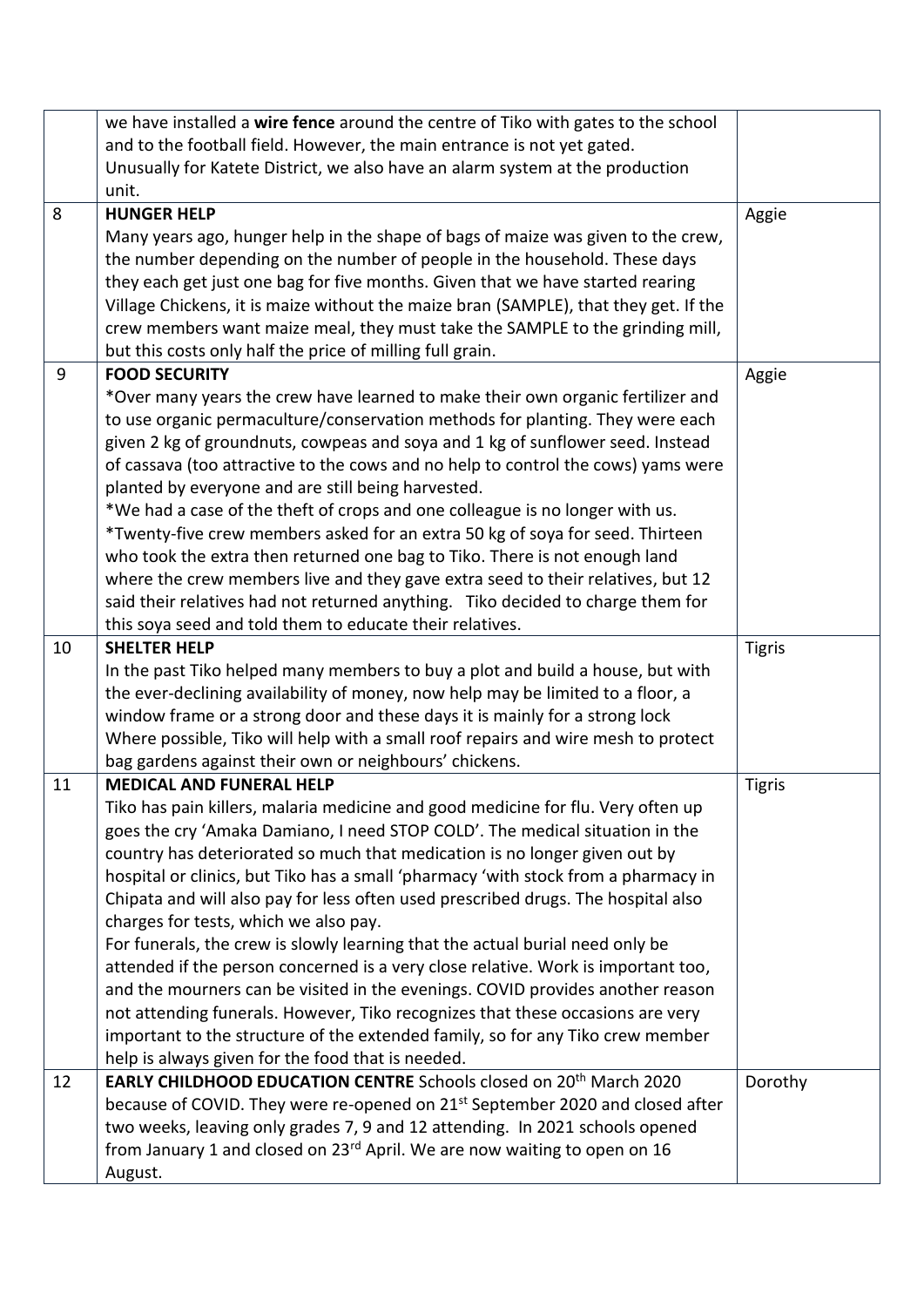|    | we have installed a wire fence around the centre of Tiko with gates to the school         |               |
|----|-------------------------------------------------------------------------------------------|---------------|
|    | and to the football field. However, the main entrance is not yet gated.                   |               |
|    | Unusually for Katete District, we also have an alarm system at the production             |               |
|    | unit.                                                                                     |               |
| 8  | <b>HUNGER HELP</b>                                                                        | Aggie         |
|    | Many years ago, hunger help in the shape of bags of maize was given to the crew,          |               |
|    | the number depending on the number of people in the household. These days                 |               |
|    | they each get just one bag for five months. Given that we have started rearing            |               |
|    | Village Chickens, it is maize without the maize bran (SAMPLE), that they get. If the      |               |
|    | crew members want maize meal, they must take the SAMPLE to the grinding mill,             |               |
|    | but this costs only half the price of milling full grain.                                 |               |
| 9  | <b>FOOD SECURITY</b>                                                                      | Aggie         |
|    | *Over many years the crew have learned to make their own organic fertilizer and           |               |
|    | to use organic permaculture/conservation methods for planting. They were each             |               |
|    | given 2 kg of groundnuts, cowpeas and soya and 1 kg of sunflower seed. Instead            |               |
|    | of cassava (too attractive to the cows and no help to control the cows) yams were         |               |
|    | planted by everyone and are still being harvested.                                        |               |
|    | *We had a case of the theft of crops and one colleague is no longer with us.              |               |
|    | *Twenty-five crew members asked for an extra 50 kg of soya for seed. Thirteen             |               |
|    | who took the extra then returned one bag to Tiko. There is not enough land                |               |
|    | where the crew members live and they gave extra seed to their relatives, but 12           |               |
|    | said their relatives had not returned anything. Tiko decided to charge them for           |               |
|    | this soya seed and told them to educate their relatives.                                  |               |
| 10 | <b>SHELTER HELP</b>                                                                       | <b>Tigris</b> |
|    | In the past Tiko helped many members to buy a plot and build a house, but with            |               |
|    | the ever-declining availability of money, now help may be limited to a floor, a           |               |
|    | window frame or a strong door and these days it is mainly for a strong lock               |               |
|    | Where possible, Tiko will help with a small roof repairs and wire mesh to protect         |               |
|    | bag gardens against their own or neighbours' chickens.                                    |               |
| 11 | <b>MEDICAL AND FUNERAL HELP</b>                                                           | <b>Tigris</b> |
|    | Tiko has pain killers, malaria medicine and good medicine for flu. Very often up          |               |
|    | goes the cry 'Amaka Damiano, I need STOP COLD'. The medical situation in the              |               |
|    | country has deteriorated so much that medication is no longer given out by                |               |
|    | hospital or clinics, but Tiko has a small 'pharmacy 'with stock from a pharmacy in        |               |
|    | Chipata and will also pay for less often used prescribed drugs. The hospital also         |               |
|    | charges for tests, which we also pay.                                                     |               |
|    | For funerals, the crew is slowly learning that the actual burial need only be             |               |
|    | attended if the person concerned is a very close relative. Work is important too,         |               |
|    | and the mourners can be visited in the evenings. COVID provides another reason            |               |
|    | not attending funerals. However, Tiko recognizes that these occasions are very            |               |
|    | important to the structure of the extended family, so for any Tiko crew member            |               |
|    | help is always given for the food that is needed.                                         |               |
| 12 | EARLY CHILDHOOD EDUCATION CENTRE Schools closed on 20 <sup>th</sup> March 2020            | Dorothy       |
|    | because of COVID. They were re-opened on 21 <sup>st</sup> September 2020 and closed after |               |
|    | two weeks, leaving only grades 7, 9 and 12 attending. In 2021 schools opened              |               |
|    | from January 1 and closed on 23 <sup>rd</sup> April. We are now waiting to open on 16     |               |
|    | August.                                                                                   |               |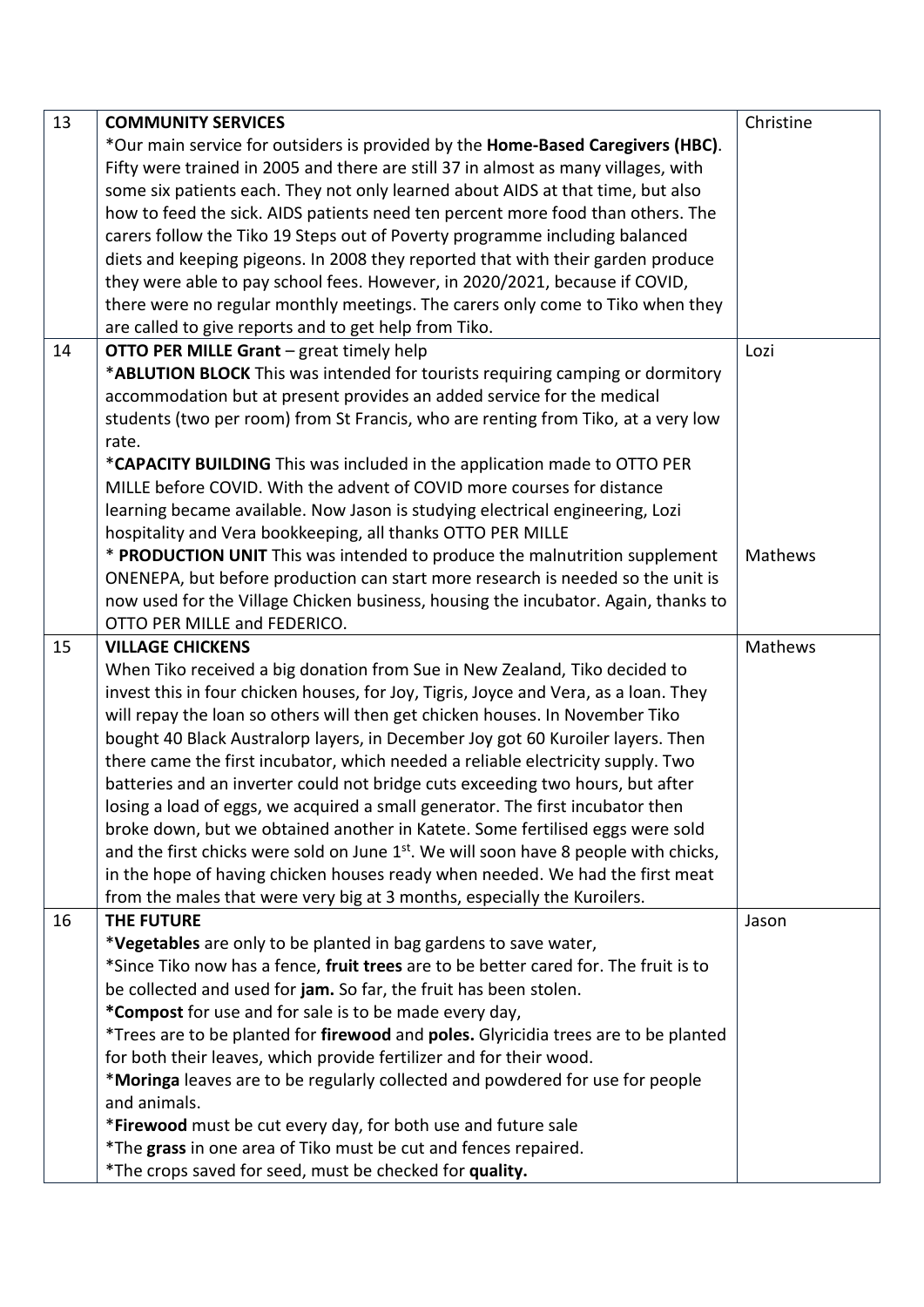| 13 | <b>COMMUNITY SERVICES</b>                                                                        | Christine |
|----|--------------------------------------------------------------------------------------------------|-----------|
|    | *Our main service for outsiders is provided by the Home-Based Caregivers (HBC).                  |           |
|    | Fifty were trained in 2005 and there are still 37 in almost as many villages, with               |           |
|    | some six patients each. They not only learned about AIDS at that time, but also                  |           |
|    | how to feed the sick. AIDS patients need ten percent more food than others. The                  |           |
|    | carers follow the Tiko 19 Steps out of Poverty programme including balanced                      |           |
|    | diets and keeping pigeons. In 2008 they reported that with their garden produce                  |           |
|    | they were able to pay school fees. However, in 2020/2021, because if COVID,                      |           |
|    | there were no regular monthly meetings. The carers only come to Tiko when they                   |           |
|    | are called to give reports and to get help from Tiko.                                            |           |
| 14 | <b>OTTO PER MILLE Grant</b> - great timely help                                                  | Lozi      |
|    | *ABLUTION BLOCK This was intended for tourists requiring camping or dormitory                    |           |
|    |                                                                                                  |           |
|    | accommodation but at present provides an added service for the medical                           |           |
|    | students (two per room) from St Francis, who are renting from Tiko, at a very low                |           |
|    | rate.                                                                                            |           |
|    | *CAPACITY BUILDING This was included in the application made to OTTO PER                         |           |
|    | MILLE before COVID. With the advent of COVID more courses for distance                           |           |
|    | learning became available. Now Jason is studying electrical engineering, Lozi                    |           |
|    | hospitality and Vera bookkeeping, all thanks OTTO PER MILLE                                      |           |
|    | * PRODUCTION UNIT This was intended to produce the malnutrition supplement                       | Mathews   |
|    | ONENEPA, but before production can start more research is needed so the unit is                  |           |
|    | now used for the Village Chicken business, housing the incubator. Again, thanks to               |           |
|    | OTTO PER MILLE and FEDERICO.                                                                     |           |
| 15 | <b>VILLAGE CHICKENS</b>                                                                          | Mathews   |
|    | When Tiko received a big donation from Sue in New Zealand, Tiko decided to                       |           |
|    | invest this in four chicken houses, for Joy, Tigris, Joyce and Vera, as a loan. They             |           |
|    | will repay the loan so others will then get chicken houses. In November Tiko                     |           |
|    | bought 40 Black Australorp layers, in December Joy got 60 Kuroiler layers. Then                  |           |
|    | there came the first incubator, which needed a reliable electricity supply. Two                  |           |
|    | batteries and an inverter could not bridge cuts exceeding two hours, but after                   |           |
|    | losing a load of eggs, we acquired a small generator. The first incubator then                   |           |
|    | broke down, but we obtained another in Katete. Some fertilised eggs were sold                    |           |
|    | and the first chicks were sold on June 1 <sup>st</sup> . We will soon have 8 people with chicks, |           |
|    | in the hope of having chicken houses ready when needed. We had the first meat                    |           |
|    | from the males that were very big at 3 months, especially the Kuroilers.                         |           |
| 16 | <b>THE FUTURE</b>                                                                                | Jason     |
|    | *Vegetables are only to be planted in bag gardens to save water,                                 |           |
|    | *Since Tiko now has a fence, fruit trees are to be better cared for. The fruit is to             |           |
|    | be collected and used for jam. So far, the fruit has been stolen.                                |           |
|    | *Compost for use and for sale is to be made every day,                                           |           |
|    | *Trees are to be planted for firewood and poles. Glyricidia trees are to be planted              |           |
|    | for both their leaves, which provide fertilizer and for their wood.                              |           |
|    | *Moringa leaves are to be regularly collected and powdered for use for people                    |           |
|    | and animals.                                                                                     |           |
|    | *Firewood must be cut every day, for both use and future sale                                    |           |
|    | *The grass in one area of Tiko must be cut and fences repaired.                                  |           |
|    | *The crops saved for seed, must be checked for quality.                                          |           |
|    |                                                                                                  |           |